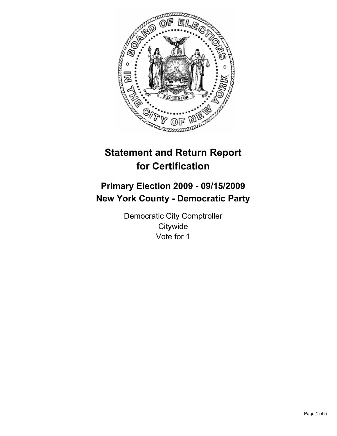

# **Statement and Return Report for Certification**

# **Primary Election 2009 - 09/15/2009 New York County - Democratic Party**

Democratic City Comptroller **Citywide** Vote for 1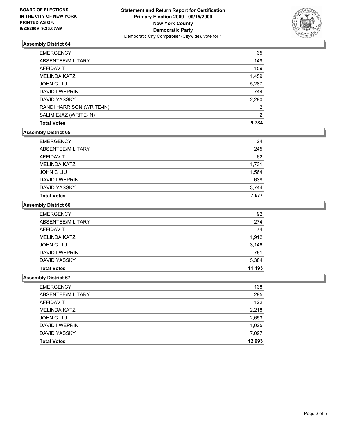

## **Assembly District 64**

| <b>Total Votes</b>        | 9.784 |
|---------------------------|-------|
| SALIM EJAZ (WRITE-IN)     | 2     |
| RANDI HARRISON (WRITE-IN) | 2     |
| <b>DAVID YASSKY</b>       | 2,290 |
| DAVID I WEPRIN            | 744   |
| <b>JOHN C LIU</b>         | 5,287 |
| <b>MELINDA KATZ</b>       | 1,459 |
| <b>AFFIDAVIT</b>          | 159   |
| ABSENTEE/MILITARY         | 149   |
| <b>EMERGENCY</b>          | 35    |

## **Assembly District 65**

| <b>EMERGENCY</b>    | 24    |
|---------------------|-------|
| ABSENTEE/MILITARY   | 245   |
| AFFIDAVIT           | 62    |
| <b>MELINDA KATZ</b> | 1,731 |
| JOHN C LIU          | 1,564 |
| DAVID I WEPRIN      | 638   |
| DAVID YASSKY        | 3,744 |
| <b>Total Votes</b>  | 7.677 |

#### **Assembly District 66**

| <b>EMERGENCY</b>    | 92     |
|---------------------|--------|
| ABSENTEE/MILITARY   | 274    |
| AFFIDAVIT           | 74     |
| <b>MELINDA KATZ</b> | 1,912  |
| JOHN C LIU          | 3,146  |
| DAVID I WEPRIN      | 751    |
| <b>DAVID YASSKY</b> | 5,384  |
| <b>Total Votes</b>  | 11.193 |

#### **Assembly District 67**

| <b>EMERGENCY</b>   | 138    |
|--------------------|--------|
| ABSENTEE/MILITARY  | 295    |
| AFFIDAVIT          | 122    |
| MELINDA KATZ       | 2,218  |
| JOHN C LIU         | 2,653  |
| DAVID I WEPRIN     | 1,025  |
| DAVID YASSKY       | 7,097  |
| <b>Total Votes</b> | 12,993 |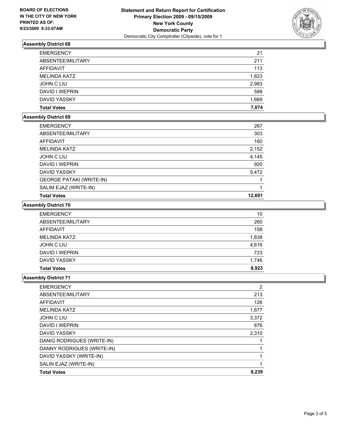

## **Assembly District 68**

| <b>EMERGENCY</b>    | 21    |
|---------------------|-------|
| ABSENTEE/MILITARY   | 211   |
| AFFIDAVIT           | 113   |
| <b>MELINDA KATZ</b> | 1,823 |
| JOHN C LIU          | 2,983 |
| DAVID I WEPRIN      | 599   |
| DAVID YASSKY        | 1,669 |
| <b>Total Votes</b>  | 7.074 |

#### **Assembly District 69**

| <b>EMERGENCY</b>                | 267    |
|---------------------------------|--------|
| ABSENTEE/MILITARY               | 303    |
| AFFIDAVIT                       | 160    |
| <b>MELINDA KATZ</b>             | 2,152  |
| JOHN C LIU                      | 4,145  |
| DAVID I WEPRIN                  | 920    |
| <b>DAVID YASSKY</b>             | 5,472  |
| <b>GEORGE PATAKI (WRITE-IN)</b> |        |
| SALIM EJAZ (WRITE-IN)           |        |
| <b>Total Votes</b>              | 12.691 |

#### **Assembly District 70**

| <b>EMERGENCY</b>    | 10    |
|---------------------|-------|
| ABSENTEE/MILITARY   | 260   |
| AFFIDAVIT           | 158   |
| <b>MELINDA KATZ</b> | 1,838 |
| JOHN C LIU          | 4,616 |
| DAVID I WEPRIN      | 723   |
| DAVID YASSKY        | 1,746 |
| <b>Total Votes</b>  | 8.923 |

### **Assembly District 71**

| <b>EMERGENCY</b>           | 2     |
|----------------------------|-------|
| ABSENTEE/MILITARY          | 213   |
| <b>AFFIDAVIT</b>           | 126   |
| <b>MELINDA KATZ</b>        | 1,677 |
| <b>JOHN C LIU</b>          | 3,372 |
| <b>DAVID I WEPRIN</b>      | 876   |
| <b>DAVID YASSKY</b>        | 2,310 |
| DANIG RODRIGUES (WRITE-IN) |       |
| DANNY RODRIGUES (WRITE-IN) |       |
| DAVID YASSKY (WRITE-IN)    |       |
| SALIN EJAZ (WRITE-IN)      |       |
| <b>Total Votes</b>         | 8,239 |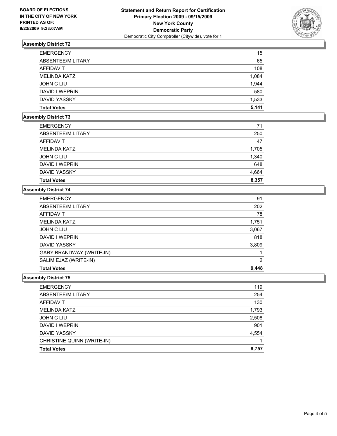

# **Assembly District 72**

| <b>EMERGENCY</b>    | 15    |
|---------------------|-------|
| ABSENTEE/MILITARY   | 65    |
| AFFIDAVIT           | 108   |
| <b>MELINDA KATZ</b> | 1,084 |
| JOHN C LIU          | 1,944 |
| DAVID I WEPRIN      | 580   |
| DAVID YASSKY        | 1,533 |
| <b>Total Votes</b>  | 5.141 |

# **Assembly District 73**

| <b>EMERGENCY</b>    | 71    |
|---------------------|-------|
| ABSENTEE/MILITARY   | 250   |
| AFFIDAVIT           | 47    |
| <b>MELINDA KATZ</b> | 1,705 |
| <b>JOHN C LIU</b>   | 1,340 |
| DAVID I WEPRIN      | 648   |
| <b>DAVID YASSKY</b> | 4,664 |
| <b>Total Votes</b>  | 8,357 |

# **Assembly District 74**

| <b>EMERGENCY</b>                | 91    |
|---------------------------------|-------|
| ABSENTEE/MILITARY               | 202   |
| AFFIDAVIT                       | 78    |
| <b>MELINDA KATZ</b>             | 1,751 |
| JOHN C LIU                      | 3,067 |
| DAVID I WEPRIN                  | 818   |
| DAVID YASSKY                    | 3,809 |
| <b>GARY BRANDWAY (WRITE-IN)</b> |       |
| SALIM EJAZ (WRITE-IN)           | 2     |
| <b>Total Votes</b>              | 9,448 |

#### **Assembly District 75**

| <b>Total Votes</b>         | 9,757 |
|----------------------------|-------|
| CHRISTINE QUINN (WRITE-IN) |       |
| <b>DAVID YASSKY</b>        | 4,554 |
| DAVID I WEPRIN             | 901   |
| JOHN C LIU                 | 2,508 |
| <b>MELINDA KATZ</b>        | 1,793 |
| AFFIDAVIT                  | 130   |
| ABSENTEE/MILITARY          | 254   |
| <b>EMERGENCY</b>           | 119   |